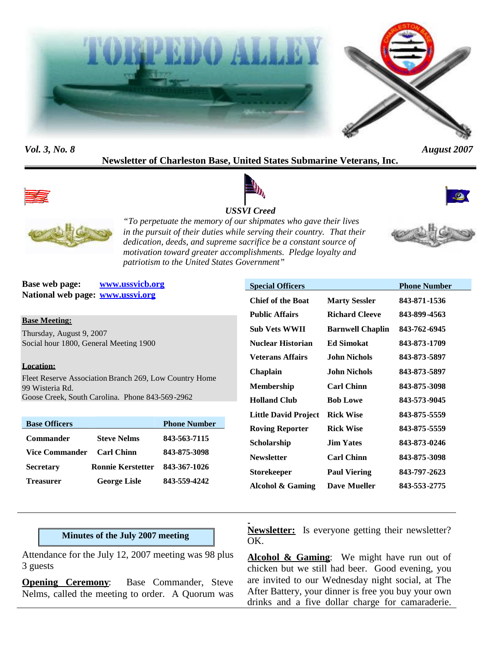



*Vol. 3, No. 8 August 2007*

# **Newsletter of Charleston Base, United States Submarine Veterans, Inc.**



#### *USSVI Creed*





*"To perpetuate the memory of our shipmates who gave their lives in the pursuit of their duties while serving their country. That their dedication, deeds, and supreme sacrifice be a constant source of motivation toward greater accomplishments. Pledge loyalty and patriotism to the United States Government"*

**Base web page: www.ussvicb.org National web page: www.ussvi.org**

**Base Meeting:**

Thursday, August 9, 2007 Social hour 1800, General Meeting 1900

#### **Location:**

Fleet Reserve Association Branch 269, Low Country Home 99 Wisteria Rd. Goose Creek, South Carolina. Phone 843-569-2962

| <b>Base Officers</b>  |                          | <b>Phone Number</b> |
|-----------------------|--------------------------|---------------------|
| Commander             | <b>Steve Nelms</b>       | 843-563-7115        |
| <b>Vice Commander</b> | <b>Carl Chinn</b>        | 843-875-3098        |
| <b>Secretary</b>      | <b>Ronnie Kerstetter</b> | 843-367-1026        |
| <b>Treasurer</b>      | <b>George Lisle</b>      | 843-559-4242        |

| <b>Special Officers</b>     |                         | <b>Phone Number</b> |
|-----------------------------|-------------------------|---------------------|
| <b>Chief of the Boat</b>    | <b>Marty Sessler</b>    | 843-871-1536        |
| <b>Public Affairs</b>       | <b>Richard Cleeve</b>   | 843-899-4563        |
| <b>Sub Vets WWII</b>        | <b>Barnwell Chaplin</b> | 843-762-6945        |
| Nuclear Historian           | <b>Ed Simokat</b>       | 843-873-1709        |
| <b>Veterans Affairs</b>     | John Nichols            | 843-873-5897        |
| Chaplain                    | John Nichols            | 843-873-5897        |
| <b>Membership</b>           | <b>Carl Chinn</b>       | 843-875-3098        |
| <b>Holland Club</b>         | <b>Bob Lowe</b>         | 843-573-9045        |
| <b>Little David Project</b> | <b>Rick Wise</b>        | 843-875-5559        |
| <b>Roving Reporter</b>      | <b>Rick Wise</b>        | 843-875-5559        |
| Scholarship                 | <b>Jim Yates</b>        | 843-873-0246        |
| <b>Newsletter</b>           | <b>Carl Chinn</b>       | 843-875-3098        |
| Storekeeper                 | <b>Paul Viering</b>     | 843-797-2623        |
| Alcohol & Gaming            | Dave Mueller            | 843-553-2775        |

#### **Minutes of the July 2007 meeting**

Attendance for the July 12, 2007 meeting was 98 plus 3 guests

**Opening Ceremony:** Base Commander, Steve Nelms, called the meeting to order. A Quorum was **Newsletter:** Is everyone getting their newsletter? OK.

Alcohol & Gaming: We might have run out of chicken but we still had beer. Good evening, you are invited to our Wednesday night social, at The After Battery, your dinner is free you buy your own drinks and a five dollar charge for camaraderie.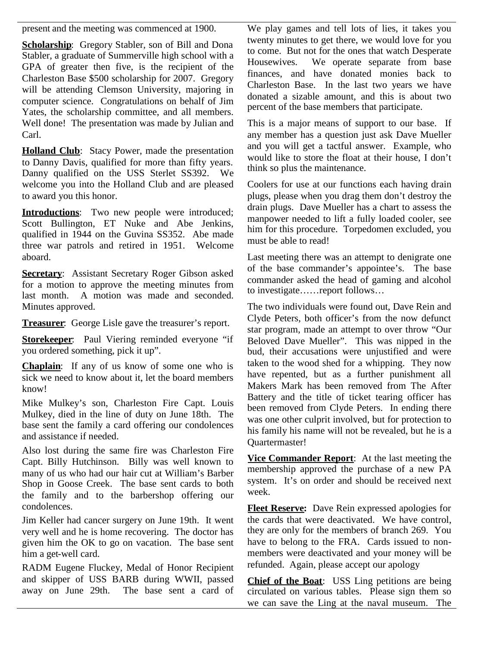present and the meeting was commenced at 1900.

**Scholarship:** Gregory Stabler, son of Bill and Dona Stabler, a graduate of Summerville high school with a collection but because the state of the state of the state of the state of the state of the state of the state of the state of the state of the state of the state of th GPA of greater then five, is the recipient of the Charleston Base \$500 scholarship for 2007. Gregory will be attending Clemson University, majoring in computer science. Congratulations on behalf of Jim Yates, the scholarship committee, and all members. Well done! The presentation was made by Julian and Carl.

**Holland Club**: Stacy Power, made the presentation to Danny Davis, qualified for more than fifty years. Danny qualified on the USS Sterlet SS392. We welcome you into the Holland Club and are pleased to award you this honor.

**Introductions**: Two new people were introduced; Scott Bullington, ET Nuke and Abe Jenkins, qualified in 1944 on the Guvina SS352. Abe made three war patrols and retired in 1951. Welcome aboard.

**Secretary:** Assistant Secretary Roger Gibson asked for a motion to approve the meeting minutes from last month. A motion was made and seconded. Minutes approved.

**Treasurer**: George Lisle gave the treasurer's report.

**Storekeeper**: Paul Viering reminded everyone "if you ordered something, pick it up".

**Chaplain**: If any of us know of some one who is sick we need to know about it, let the board members know!

Mike Mulkey's son, Charleston Fire Capt. Louis Mulkey, died in the line of duty on June 18th. The base sent the family a card offering our condolences and assistance if needed.

Also lost during the same fire was Charleston Fire Capt. Billy Hutchinson. Billy was well known to many of us who had our hair cut at William's Barber Shop in Goose Creek. The base sent cards to both the family and to the barbershop offering our condolences.

Jim Keller had cancer surgery on June 19th. It went very well and he is home recovering. The doctor has given him the OK to go on vacation. The base sent him a get-well card.

RADM Eugene Fluckey, Medal of Honor Recipient and skipper of USS BARB during WWII, passed away on June 29th. The base sent a card of

We play games and tell lots of lies, it takes you twenty minutes to get there, we would love for you to come. But not for the ones that watch Desperate We operate separate from base finances, and have donated monies back to Charleston Base. In the last two years we have donated a sizable amount, and this is about two percent of the base members that participate.

This is a major means of support to our base. If any member has a question just ask Dave Mueller and you will get a tactful answer. Example, who would like to store the float at their house, I don't think so plus the maintenance.

Coolers for use at our functions each having drain plugs, please when you drag them don't destroy the drain plugs. Dave Mueller has a chart to assess the manpower needed to lift a fully loaded cooler, see him for this procedure. Torpedomen excluded, you must be able to read!

Last meeting there was an attempt to denigrate one of the base commander's appointee's. The base commander asked the head of gaming and alcohol to investigate……report follows…

The two individuals were found out, Dave Rein and Clyde Peters, both officer's from the now defunct star program, made an attempt to over throw "Our Beloved Dave Mueller". This was nipped in the bud, their accusations were unjustified and were taken to the wood shed for a whipping. They now have repented, but as a further punishment all Makers Mark has been removed from The After Battery and the title of ticket tearing officer has been removed from Clyde Peters. In ending there was one other culprit involved, but for protection to his family his name will not be revealed, but he is a Quartermaster!

**Vice Commander Report**: At the last meeting the membership approved the purchase of a new PA system. It's on order and should be received next week.

**Fleet Reserve:** Dave Rein expressed apologies for the cards that were deactivated. We have control, they are only for the members of branch 269. You have to belong to the FRA. Cards issued to nonmembers were deactivated and your money will be refunded. Again, please accept our apology

**Chief of the Boat**: USS Ling petitions are being circulated on various tables. Please sign them so we can save the Ling at the naval museum. The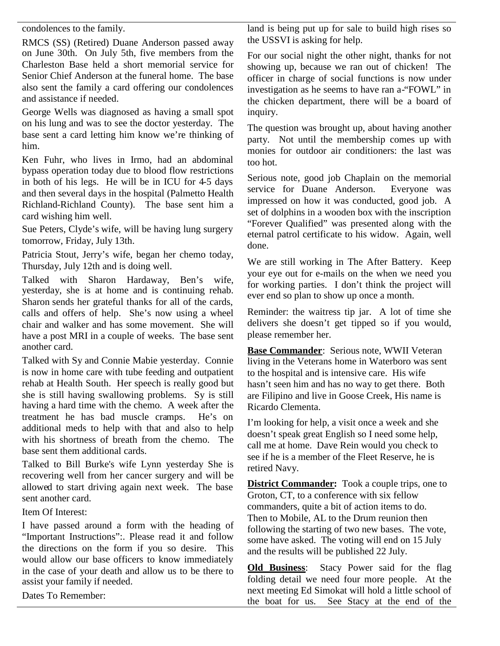condolences to the family.

RMCS (SS) (Retired) Duane Anderson passed away on June 30th. On July 5th, five members from the Charleston Base held a short memorial service for Senior Chief Anderson at the funeral home. The base also sent the family a card offering our condolences and assistance if needed.

George Wells was diagnosed as having a small spot on his lung and was to see the doctor yesterday. The base sent a card letting him know we're thinking of him.

Ken Fuhr, who lives in Irmo, had an abdominal bypass operation today due to blood flow restrictions in both of his legs. He will be in ICU for 4-5 days and then several days in the hospital (Palmetto Health Richland-Richland County). The base sent him a card wishing him well.

Sue Peters, Clyde's wife, will be having lung surgery tomorrow, Friday, July 13th.

Patricia Stout, Jerry's wife, began her chemo today, Thursday, July 12th and is doing well.

Talked with Sharon Hardaway, Ben's wife, yesterday, she is at home and is continuing rehab. Sharon sends her grateful thanks for all of the cards, calls and offers of help. She's now using a wheel chair and walker and has some movement. She will have a post MRI in a couple of weeks. The base sent another card.

Talked with Sy and Connie Mabie yesterday. Connie is now in home care with tube feeding and outpatient rehab at Health South. Her speech is really good but she is still having swallowing problems. Sy is still having a hard time with the chemo. A week after the treatment he has bad muscle cramps. He's on additional meds to help with that and also to help with his shortness of breath from the chemo. The base sent them additional cards.

Talked to Bill Burke's wife Lynn yesterday She is recovering well from her cancer surgery and will be allowed to start driving again next week. The base sent another card.

Item Of Interest:

I have passed around a form with the heading of "Important Instructions":. Please read it and follow the directions on the form if you so desire. This would allow our base officers to know immediately in the case of your death and allow us to be there to  $Qld$  **Did Business**: assist your family if needed.

Dates To Remember:

land is being put up for sale to build high rises so the USSVI is asking for help.

For our social night the other night, thanks for not showing up, because we ran out of chicken! The officer in charge of social functions is now under investigation as he seems to have ran a-"FOWL" in the chicken department, there will be a board of inquiry.

The question was brought up, about having another party. Not until the membership comes up with monies for outdoor air conditioners: the last was too hot.

Serious note, good job Chaplain on the memorial service for Duane Anderson. Everyone was impressed on how it was conducted, good job. A set of dolphins in a wooden box with the inscription "Forever Qualified" was presented along with the eternal patrol certificate to his widow. Again, well done.

We are still working in The After Battery. Keep your eye out for e-mails on the when we need you for working parties. I don't think the project will ever end so plan to show up once a month.

Reminder: the waitress tip jar. A lot of time she delivers she doesn't get tipped so if you would, please remember her.

**Base Commander**: Serious note, WWII Veteran living in the Veterans home in Waterboro was sent to the hospital and is intensive care. His wife hasn't seen him and has no way to get there. Both are Filipino and live in Goose Creek, His name is Ricardo Clementa.

I'm looking for help, a visit once a week and she doesn't speak great English so I need some help, call me at home. Dave Rein would you check to see if he is a member of the Fleet Reserve, he is retired Navy.

**District Commander:** Took a couple trips, one to Groton, CT, to a conference with six fellow commanders, quite a bit of action items to do. Then to Mobile, AL to the Drum reunion then following the starting of two new bases. The vote, some have asked. The voting will end on 15 July and the results will be published 22 July.

Stacy Power said for the flag folding detail we need four more people. At the next meeting Ed Simokat will hold a little school of the boat for us. See Stacy at the end of the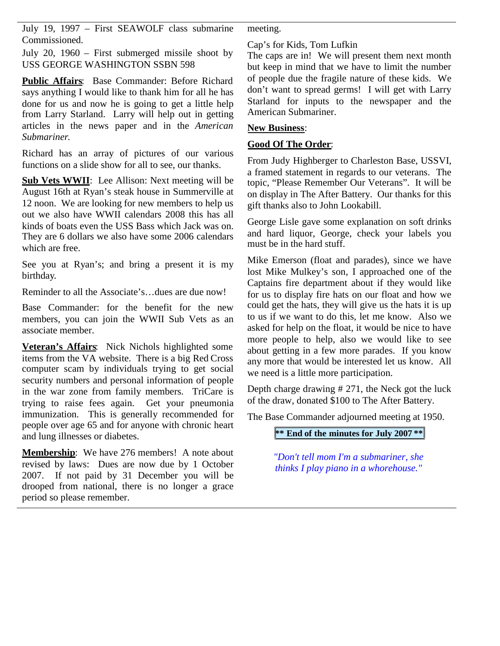July 19, 1997 – First SEAWOLF class submarine Commissioned.

July 20, 1960 – First submerged missile shoot by USS GEORGE WASHINGTON SSBN 598

**Public Affairs**: Base Commander: Before Richard says anything  $\overline{I}$  would like to thank him for all he has done for us and now he is going to get a little help from Larry Starland. Larry will help out in getting articles in the news paper and in the *American Submariner*.

Richard has an array of pictures of our various functions on a slide show for all to see, our thanks.

**Sub Vets WWII**: Lee Allison: Next meeting will be August 16th at Ryan's steak house in Summerville at 12 noon. We are looking for new members to help us out we also have WWII calendars 2008 this has all kinds of boats even the USS Bass which Jack was on. They are 6 dollars we also have some 2006 calendars which are free.

See you at Ryan's; and bring a present it is my birthday.

Reminder to all the Associate's…dues are due now!

Base Commander: for the benefit for the new members, you can join the WWII Sub Vets as an associate member.

**Veteran's Affairs**: Nick Nichols highlighted some items from the VA website. There is a big Red Cross computer scam by individuals trying to get social security numbers and personal information of people in the war zone from family members. TriCare is trying to raise fees again. Get your pneumonia immunization. This is generally recommended for people over age 65 and for anyone with chronic heart and lung illnesses or diabetes.

**Membership**: We have 276 members! A note about revised by laws: Dues are now due by 1 October 2007. If not paid by 31 December you will be drooped from national, there is no longer a grace period so please remember.

meeting.

Cap's for Kids, Tom Lufkin

The caps are in! We will present them next month but keep in mind that we have to limit the number of people due the fragile nature of these kids. We don't want to spread germs! I will get with Larry Starland for inputs to the newspaper and the American Submariner.

#### **New Business**:

#### **Good Of The Order**:

From Judy Highberger to Charleston Base, USSVI, a framed statement in regards to our veterans. The topic, "Please Remember Our Veterans". It will be on display in The After Battery. Our thanks for this gift thanks also to John Lookabill.

George Lisle gave some explanation on soft drinks and hard liquor, George, check your labels you must be in the hard stuff.

Mike Emerson (float and parades), since we have lost Mike Mulkey's son, I approached one of the Captains fire department about if they would like for us to display fire hats on our float and how we could get the hats, they will give us the hats it is up to us if we want to do this, let me know. Also we asked for help on the float, it would be nice to have more people to help, also we would like to see about getting in a few more parades. If you know any more that would be interested let us know. All we need is a little more participation.

Depth charge drawing # 271, the Neck got the luck of the draw, donated \$100 to The After Battery.

The Base Commander adjourned meeting at 1950.

## **\*\* End of the minutes for July 2007 \*\***

*"Don't tell mom I'm a submariner, she thinks I play piano in a whorehouse."*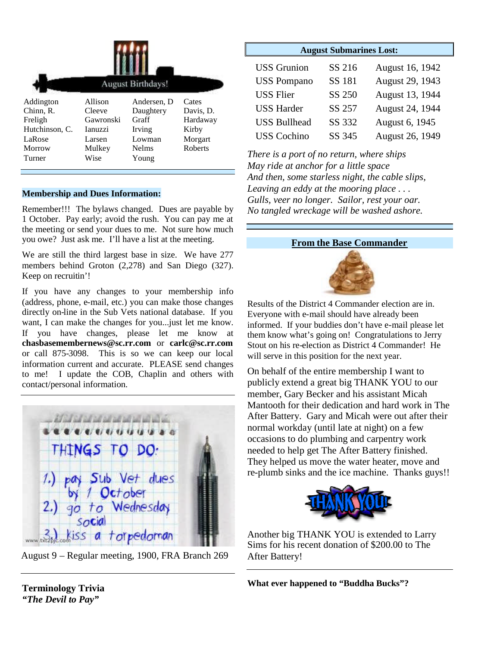|                | <b>August Birthdays!</b> |              |                |  |
|----------------|--------------------------|--------------|----------------|--|
| Addington      | Allison                  | Andersen, D  | Cates          |  |
| Chinn, R.      | Cleeve                   | Daughtery    | Davis, D.      |  |
| Freligh        | Gawronski                | Graff        | Hardaway       |  |
| Hutchinson, C. | <b>Ianuzzi</b>           | Irving       | Kirby          |  |
| LaRose         | Larsen                   | Lowman       | Morgart        |  |
| Morrow         | Mulkey                   | <b>Nelms</b> | <b>Roberts</b> |  |
| Turner         | Wise                     | Young        |                |  |

#### **Membership and Dues Information:**

Remember!!! The bylaws changed. Dues are payable by 1 October. Pay early; avoid the rush. You can pay me at the meeting or send your dues to me. Not sure how much you owe? Just ask me. I'll have a list at the meeting.

We are still the third largest base in size. We have 277 members behind Groton (2,278) and San Diego (327). Keep on recruitin'!

If you have any changes to your membership info (address, phone, e-mail, etc.) you can make those changes directly on-line in the Sub Vets national database. If you want, I can make the changes for you...just let me know. If you have changes, please let me know at **chasbasemembernews@sc.rr.com** or **carlc@sc.rr.com** or call 875-3098. This is so we can keep our local information current and accurate. PLEASE send changes to me! I update the COB, Chaplin and others with contact/personal information.



August 9 – Regular meeting, 1900, FRA Branch 269

| <b>August Submarines Lost:</b> |        |                 |  |  |  |
|--------------------------------|--------|-----------------|--|--|--|
| <b>USS</b> Grunion             | SS 216 | August 16, 1942 |  |  |  |
| <b>USS Pompano</b>             | SS 181 | August 29, 1943 |  |  |  |
| <b>USS Flier</b>               | SS 250 | August 13, 1944 |  |  |  |
| <b>USS Harder</b>              | SS 257 | August 24, 1944 |  |  |  |
| <b>USS Bullhead</b>            | SS 332 | August 6, 1945  |  |  |  |
| <b>USS Cochino</b>             | SS 345 | August 26, 1949 |  |  |  |
|                                |        |                 |  |  |  |

*There is a port of no return, where ships May ride at anchor for a little space And then, some starless night, the cable slips, Leaving an eddy at the mooring place . . . Gulls, veer no longer. Sailor, rest your oar. No tangled wreckage will be washed ashore.*

#### **From the Base Commander**



Results of the District 4 Commander election are in. Everyone with e-mail should have already been informed. If your buddies don't have e-mail please let them know what's going on! Congratulations to Jerry Stout on his re-election as District 4 Commander! He will serve in this position for the next year.

On behalf of the entire membership I want to publicly extend a great big THANK YOU to our member, Gary Becker and his assistant Micah Mantooth for their dedication and hard work in The After Battery. Gary and Micah were out after their normal workday (until late at night) on a few occasions to do plumbing and carpentry work needed to help get The After Battery finished. They helped us move the water heater, move and re-plumb sinks and the ice machine. Thanks guys!!



Another big THANK YOU is extended to Larry Sims for his recent donation of \$200.00 to The After Battery!

**What ever happened to "Buddha Bucks"?**

**Terminology Trivia** *"The Devil to Pay"*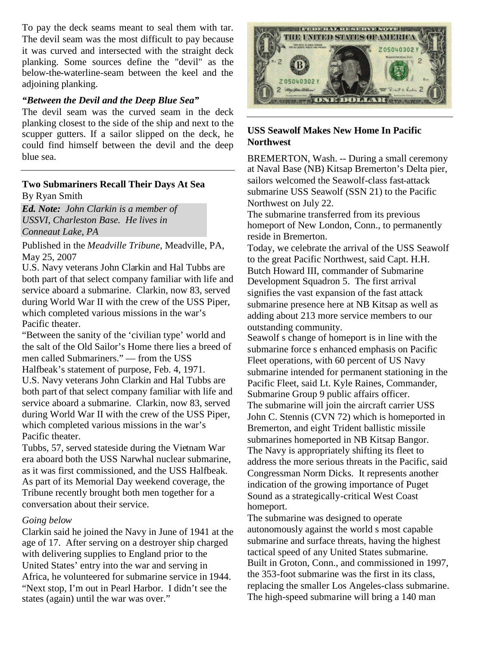To pay the deck seams meant to seal them with tar. The devil seam was the most difficult to pay because it was curved and intersected with the straight deck planking. Some sources define the "devil" as the below-the-waterline-seam between the keel and the adjoining planking.

#### *"Between the Devil and the Deep Blue Sea"*

The devil seam was the curved seam in the deck planking closest to the side of the ship and next to the scupper gutters. If a sailor slipped on the deck, he could find himself between the devil and the deep blue sea.

#### **Two Submariners Recall Their Days At Sea** By Ryan Smith

*Ed. Note: John Clarkin is a member of USSVI, Charleston Base. He lives in Conneaut Lake, PA*

Published in the *Meadville Tribune*, Meadville, PA, May 25, 2007

U.S. Navy veterans John Clarkin and Hal Tubbs are both part of that select company familiar with life and service aboard a submarine. Clarkin, now 83, served during World War II with the crew of the USS Piper, which completed various missions in the war's Pacific theater.

"Between the sanity of the 'civilian type' world and the salt of the Old Sailor's Home there lies a breed of men called Submariners." — from the USS Halfbeak's statement of purpose, Feb. 4, 1971. U.S. Navy veterans John Clarkin and Hal Tubbs are both part of that select company familiar with life and service aboard a submarine. Clarkin, now 83, served during World War II with the crew of the USS Piper, which completed various missions in the war's Pacific theater.

Tubbs, 57, served stateside during the Vietnam War era aboard both the USS Narwhal nuclear submarine, as it was first commissioned, and the USS Halfbeak. As part of its Memorial Day weekend coverage, the Tribune recently brought both men together for a conversation about their service.

#### *Going below*

Clarkin said he joined the Navy in June of 1941 at the age of 17. After serving on a destroyer ship charged with delivering supplies to England prior to the United States' entry into the war and serving in Africa, he volunteered for submarine service in 1944. "Next stop, I'm out in Pearl Harbor. I didn't see the states (again) until the war was over."



#### **USS Seawolf Makes New Home In Pacific Northwest**

BREMERTON, Wash. -- During a small ceremony at Naval Base (NB) Kitsap Bremerton's Delta pier, sailors welcomed the Seawolf-class fast-attack submarine USS Seawolf (SSN 21) to the Pacific Northwest on July 22.

The submarine transferred from its previous homeport of New London, Conn., to permanently reside in Bremerton.

Today, we celebrate the arrival of the USS Seawolf to the great Pacific Northwest, said Capt. H.H. Butch Howard III, commander of Submarine Development Squadron 5. The first arrival signifies the vast expansion of the fast attack submarine presence here at NB Kitsap as well as adding about 213 more service members to our outstanding community.

Seawolf s change of homeport is in line with the submarine force s enhanced emphasis on Pacific Fleet operations, with 60 percent of US Navy submarine intended for permanent stationing in the Pacific Fleet, said Lt. Kyle Raines, Commander, Submarine Group 9 public affairs officer. The submarine will join the aircraft carrier USS John C. Stennis (CVN 72) which is homeported in Bremerton, and eight Trident ballistic missile submarines homeported in NB Kitsap Bangor. The Navy is appropriately shifting its fleet to address the more serious threats in the Pacific, said Congressman Norm Dicks. It represents another indication of the growing importance of Puget Sound as a strategically-critical West Coast homeport.

The submarine was designed to operate autonomously against the world s most capable submarine and surface threats, having the highest tactical speed of any United States submarine. Built in Groton, Conn., and commissioned in 1997, the 353-foot submarine was the first in its class, replacing the smaller Los Angeles-class submarine. The high-speed submarine will bring a 140 man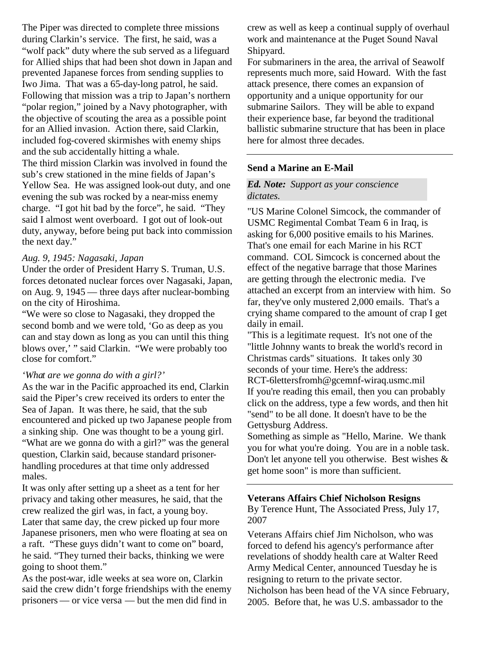The Piper was directed to complete three missions during Clarkin's service. The first, he said, was a "wolf pack" duty where the sub served as a lifeguard for Allied ships that had been shot down in Japan and prevented Japanese forces from sending supplies to Iwo Jima. That was a 65-day-long patrol, he said. Following that mission was a trip to Japan's northern "polar region," joined by a Navy photographer, with the objective of scouting the area as a possible point for an Allied invasion. Action there, said Clarkin, included fog-covered skirmishes with enemy ships and the sub accidentally hitting a whale. The third mission Clarkin was involved in found the sub's crew stationed in the mine fields of Japan's Yellow Sea. He was assigned look-out duty, and one evening the sub was rocked by a near-miss enemy charge. "I got hit bad by the force", he said. "They said I almost went overboard. I got out of look-out

# duty, anyway, before being put back into commission the next day."

#### *Aug. 9, 1945: Nagasaki, Japan*

Under the order of President Harry S. Truman, U.S. forces detonated nuclear forces over Nagasaki, Japan, on Aug. 9, 1945 — three days after nuclear-bombing on the city of Hiroshima.

"We were so close to Nagasaki, they dropped the second bomb and we were told, 'Go as deep as you can and stay down as long as you can until this thing blows over,' " said Clarkin. "We were probably too close for comfort."

#### *'What are we gonna do with a girl?'*

As the war in the Pacific approached its end, Clarkin said the Piper's crew received its orders to enter the Sea of Japan. It was there, he said, that the sub encountered and picked up two Japanese people from a sinking ship. One was thought to be a young girl. "What are we gonna do with a girl?" was the general question, Clarkin said, because standard prisonerhandling procedures at that time only addressed males.

It was only after setting up a sheet as a tent for her privacy and taking other measures, he said, that the crew realized the girl was, in fact, a young boy. Later that same day, the crew picked up four more Japanese prisoners, men who were floating at sea on a raft. "These guys didn't want to come on" board, he said. "They turned their backs, thinking we were going to shoot them."

As the post-war, idle weeks at sea wore on, Clarkin said the crew didn't forge friendships with the enemy prisoners — or vice versa — but the men did find in

crew as well as keep a continual supply of overhaul work and maintenance at the Puget Sound Naval Shipyard.

For submariners in the area, the arrival of Seawolf represents much more, said Howard. With the fast attack presence, there comes an expansion of opportunity and a unique opportunity for our submarine Sailors. They will be able to expand their experience base, far beyond the traditional ballistic submarine structure that has been in place here for almost three decades.

#### **Send a Marine an E-Mail**

#### *Ed. Note: Support as your conscience dictates.*

"US Marine Colonel Simcock, the commander of USMC Regimental Combat Team 6 in Iraq, is asking for 6,000 positive emails to his Marines. That's one email for each Marine in his RCT command. COL Simcock is concerned about the effect of the negative barrage that those Marines are getting through the electronic media. I've attached an excerpt from an interview with him. So far, they've only mustered 2,000 emails. That's a crying shame compared to the amount of crap I get daily in email.

"This is a legitimate request. It's not one of the "little Johnny wants to break the world's record in Christmas cards" situations. It takes only 30 seconds of your time. Here's the address: RCT-6lettersfromh@gcemnf-wiraq.usmc.mil If you're reading this email, then you can probably click on the address, type a few words, and then hit "send" to be all done. It doesn't have to be the Gettysburg Address.

Something as simple as "Hello, Marine. We thank you for what you're doing. You are in a noble task. Don't let anyone tell you otherwise. Best wishes & get home soon" is more than sufficient.

# **Veterans Affairs Chief Nicholson Resigns**

By Terence Hunt, The Associated Press, July 17, 2007

Veterans Affairs chief Jim Nicholson, who was forced to defend his agency's performance after revelations of shoddy health care at Walter Reed Army Medical Center, announced Tuesday he is resigning to return to the private sector.

Nicholson has been head of the VA since February, 2005. Before that, he was U.S. ambassador to the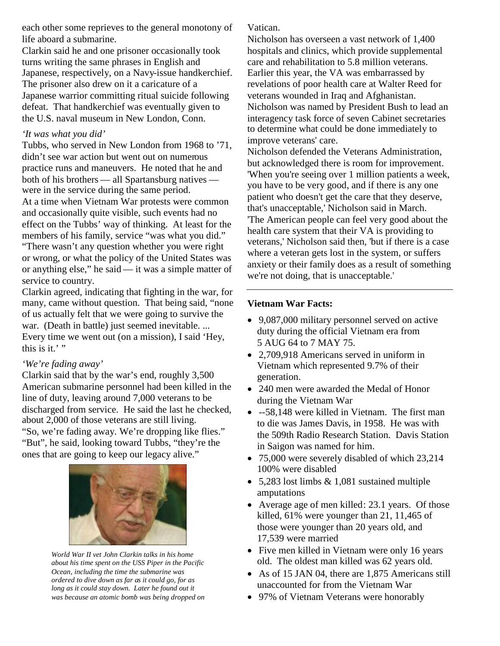each other some reprieves to the general monotony of life aboard a submarine.

Clarkin said he and one prisoner occasionally took turns writing the same phrases in English and Japanese, respectively, on a Navy-issue handkerchief. The prisoner also drew on it a caricature of a Japanese warrior committing ritual suicide following defeat. That handkerchief was eventually given to the U.S. naval museum in New London, Conn.

#### *'It was what you did'*

Tubbs, who served in New London from 1968 to '71, didn't see war action but went out on numerous practice runs and maneuvers. He noted that he and both of his brothers — all Spartansburg natives were in the service during the same period. At a time when Vietnam War protests were common and occasionally quite visible, such events had no effect on the Tubbs' way of thinking. At least for the members of his family, service "was what you did." "There wasn't any question whether you were right or wrong, or what the policy of the United States was or anything else," he said — it was a simple matter of service to country.

Clarkin agreed, indicating that fighting in the war, for many, came without question. That being said, "none of us actually felt that we were going to survive the war. (Death in battle) just seemed inevitable. ... Every time we went out (on a mission), I said 'Hey, this is it.' "

#### *'We're fading away'*

Clarkin said that by the war's end, roughly 3,500 American submarine personnel had been killed in the line of duty, leaving around 7,000 veterans to be discharged from service. He said the last he checked, about 2,000 of those veterans are still living. "So, we're fading away. We're dropping like flies." "But", he said, looking toward Tubbs, "they're the ones that are going to keep our legacy alive."



*World War II vet John Clarkin talks in his home about his time spent on the USS Piper in the Pacific Ocean, including the time the submarine was ordered to dive down as far as it could go, for as long as it could stay down. Later he found out it was because an atomic bomb was being dropped on*

Vatican.

Nicholson has overseen a vast network of 1,400 hospitals and clinics, which provide supplemental care and rehabilitation to 5.8 million veterans. Earlier this year, the VA was embarrassed by revelations of poor health care at Walter Reed for veterans wounded in Iraq and Afghanistan. Nicholson was named by President Bush to lead an interagency task force of seven Cabinet secretaries to determine what could be done immediately to improve veterans' care.

Nicholson defended the Veterans Administration, but acknowledged there is room for improvement. 'When you're seeing over 1 million patients a week, you have to be very good, and if there is any one patient who doesn't get the care that they deserve, that's unacceptable,' Nicholson said in March. 'The American people can feel very good about the health care system that their VA is providing to veterans,' Nicholson said then, 'but if there is a case where a veteran gets lost in the system, or suffers anxiety or their family does as a result of something we're not doing, that is unacceptable.'

#### **Vietnam War Facts:**

- 9,087,000 military personnel served on active duty during the official Vietnam era from 5 AUG 64 to 7 MAY 75.
- 2,709,918 Americans served in uniform in Vietnam which represented 9.7% of their generation.
- 240 men were awarded the Medal of Honor during the Vietnam War
- --58,148 were killed in Vietnam. The first man to die was James Davis, in 1958. He was with the 509th Radio Research Station. Davis Station in Saigon was named for him.
- 75,000 were severely disabled of which 23,214 100% were disabled
- 5,283 lost limbs & 1,081 sustained multiple amputations
- Average age of men killed: 23.1 years. Of those killed, 61% were younger than 21, 11,465 of those were younger than 20 years old, and 17,539 were married
- Five men killed in Vietnam were only 16 years old. The oldest man killed was 62 years old.
- As of 15 JAN 04, there are 1,875 Americans still unaccounted for from the Vietnam War
- 97% of Vietnam Veterans were honorably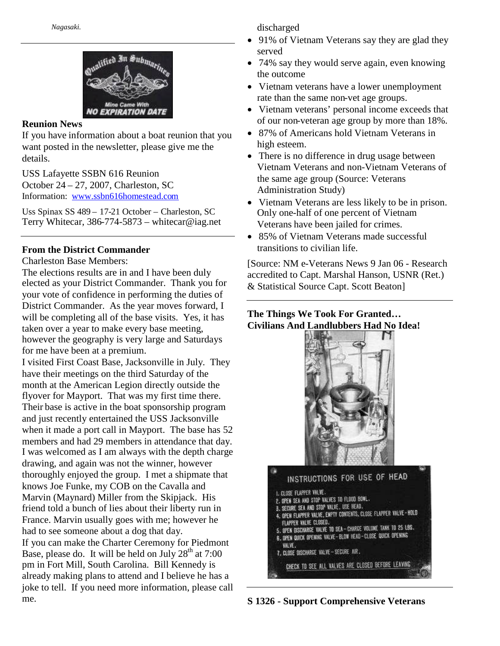

#### **Reunion News**

If you have information about a boat reunion that you want posted in the newsletter, please give me the details.

USS Lafayette SSBN 616 Reunion October 24 – 27, 2007, Charleston, SC Information: www.ssbn616homestead.com

Uss Spinax SS 489 – 17-21 October – Charleston, SC Terry Whitecar, 386-774-5873 – whitecar@iag.net

#### **From the District Commander**

Charleston Base Members:

The elections results are in and I have been duly elected as your District Commander. Thank you for your vote of confidence in performing the duties of District Commander. As the year moves forward, I will be completing all of the base visits. Yes, it has taken over a year to make every base meeting, however the geography is very large and Saturdays for me have been at a premium.

I visited First Coast Base, Jacksonville in July. They have their meetings on the third Saturday of the month at the American Legion directly outside the flyover for Mayport. That was my first time there. Their base is active in the boat sponsorship program and just recently entertained the USS Jacksonville when it made a port call in Mayport. The base has 52 members and had 29 members in attendance that day. I was welcomed as I am always with the depth charge drawing, and again was not the winner, however thoroughly enjoyed the group. I met a shipmate that knows Joe Funke, my COB on the Cavalla and Marvin (Maynard) Miller from the Skipjack. His friend told a bunch of lies about their liberty run in France. Marvin usually goes with me; however he had to see someone about a dog that day. If you can make the Charter Ceremony for Piedmont Base, please do. It will be held on July  $28<sup>th</sup>$  at 7:00 pm in Fort Mill, South Carolina. Bill Kennedy is already making plans to attend and I believe he has a joke to tell. If you need more information, please call me.

discharged

- 91% of Vietnam Veterans say they are glad they served
- 74% say they would serve again, even knowing the outcome
- Vietnam veterans have a lower unemployment rate than the same non-vet age groups.
- Vietnam veterans' personal income exceeds that of our non-veteran age group by more than 18%.
- 87% of Americans hold Vietnam Veterans in high esteem.
- There is no difference in drug usage between Vietnam Veterans and non-Vietnam Veterans of the same age group (Source: Veterans Administration Study)
- Vietnam Veterans are less likely to be in prison. Only one-half of one percent of Vietnam Veterans have been jailed for crimes.
- 85% of Vietnam Veterans made successful transitions to civilian life.

[Source: NM e-Veterans News 9 Jan 06 - Research accredited to Capt. Marshal Hanson, USNR (Ret.) & Statistical Source Capt. Scott Beaton]

### **The Things We Took For Granted… Civilians And Landlubbers Had No Idea!**





**S 1326 - Support Comprehensive Veterans**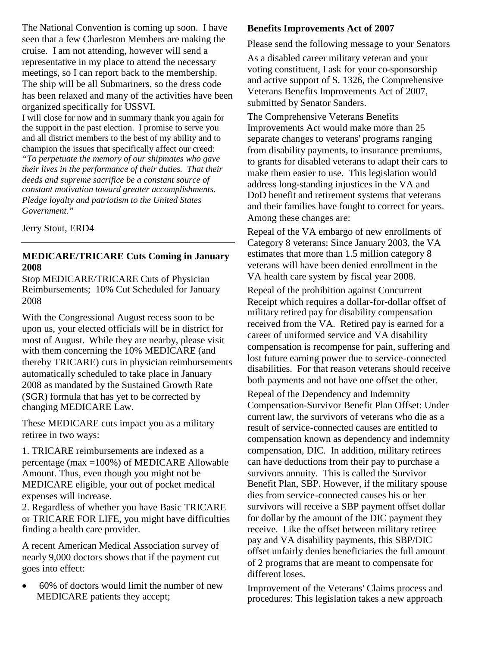The National Convention is coming up soon. I have seen that a few Charleston Members are making the cruise. I am not attending, however will send a representative in my place to attend the necessary meetings, so I can report back to the membership. The ship will be all Submariners, so the dress code has been relaxed and many of the activities have been organized specifically for USSVI.

I will close for now and in summary thank you again for the support in the past election. I promise to serve you and all district members to the best of my ability and to champion the issues that specifically affect our creed: *"To perpetuate the memory of our shipmates who gave their lives in the performance of their duties. That their deeds and supreme sacrifice be a constant source of constant motivation toward greater accomplishments. Pledge loyalty and patriotism to the United States Government."*

Jerry Stout, ERD4

#### **MEDICARE/TRICARE Cuts Coming in January 2008**

Stop MEDICARE/TRICARE Cuts of Physician Reimbursements; 10% Cut Scheduled for January 2008

With the Congressional August recess soon to be upon us, your elected officials will be in district for most of August. While they are nearby, please visit with them concerning the 10% MEDICARE (and thereby TRICARE) cuts in physician reimbursements automatically scheduled to take place in January 2008 as mandated by the Sustained Growth Rate (SGR) formula that has yet to be corrected by changing MEDICARE Law.

These MEDICARE cuts impact you as a military retiree in two ways:

1. TRICARE reimbursements are indexed as a percentage (max =100%) of MEDICARE Allowable Amount. Thus, even though you might not be MEDICARE eligible, your out of pocket medical expenses will increase.

2. Regardless of whether you have Basic TRICARE or TRICARE FOR LIFE, you might have difficulties finding a health care provider.

A recent American Medical Association survey of nearly 9,000 doctors shows that if the payment cut goes into effect:

• 60% of doctors would limit the number of new MEDICARE patients they accept;

#### **Benefits Improvements Act of 2007**

Please send the following message to your Senators

As a disabled career military veteran and your voting constituent, I ask for your co-sponsorship and active support of S. 1326, the Comprehensive Veterans Benefits Improvements Act of 2007, submitted by Senator Sanders.

The Comprehensive Veterans Benefits Improvements Act would make more than 25 separate changes to veterans' programs ranging from disability payments, to insurance premiums, to grants for disabled veterans to adapt their cars to make them easier to use. This legislation would address long-standing injustices in the VA and DoD benefit and retirement systems that veterans and their families have fought to correct for years. Among these changes are:

Repeal of the VA embargo of new enrollments of Category 8 veterans: Since January 2003, the VA estimates that more than 1.5 million category 8 veterans will have been denied enrollment in the VA health care system by fiscal year 2008.

Repeal of the prohibition against Concurrent Receipt which requires a dollar-for-dollar offset of military retired pay for disability compensation received from the VA. Retired pay is earned for a career of uniformed service and VA disability compensation is recompense for pain, suffering and lost future earning power due to service-connected disabilities. For that reason veterans should receive both payments and not have one offset the other.

Repeal of the Dependency and Indemnity Compensation-Survivor Benefit Plan Offset: Under current law, the survivors of veterans who die as a result of service-connected causes are entitled to compensation known as dependency and indemnity compensation, DIC. In addition, military retirees can have deductions from their pay to purchase a survivors annuity. This is called the Survivor Benefit Plan, SBP. However, if the military spouse dies from service-connected causes his or her survivors will receive a SBP payment offset dollar for dollar by the amount of the DIC payment they receive. Like the offset between military retiree pay and VA disability payments, this SBP/DIC offset unfairly denies beneficiaries the full amount of 2 programs that are meant to compensate for different loses.

Improvement of the Veterans' Claims process and procedures: This legislation takes a new approach